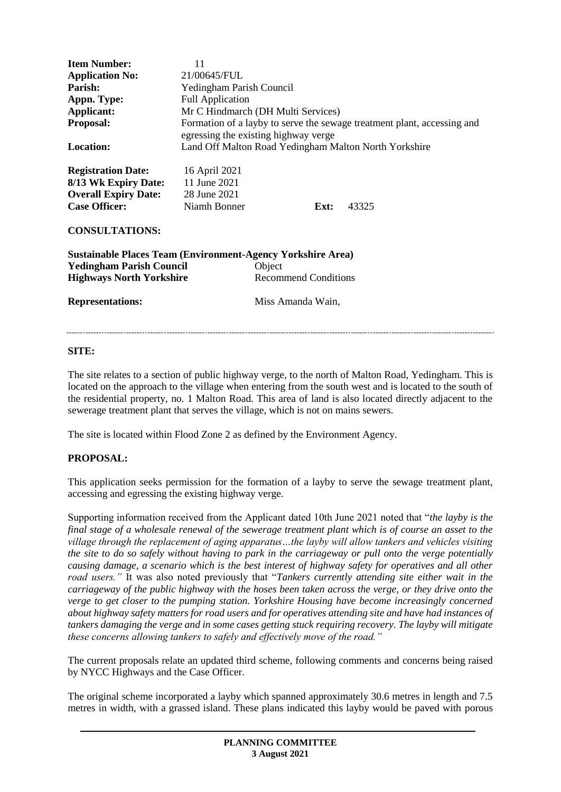| <b>Item Number:</b><br><b>Application No:</b><br>Parish:<br>Appn. Type:<br>Applicant:<br>Proposal:<br><b>Location:</b>                                              | 11<br>21/00645/FUL<br>Yedingham Parish Council<br><b>Full Application</b><br>Mr C Hindmarch (DH Multi Services)<br>Formation of a layby to serve the sewage treatment plant, accessing and<br>egressing the existing highway verge<br>Land Off Malton Road Yedingham Malton North Yorkshire |                                                            |      |       |
|---------------------------------------------------------------------------------------------------------------------------------------------------------------------|---------------------------------------------------------------------------------------------------------------------------------------------------------------------------------------------------------------------------------------------------------------------------------------------|------------------------------------------------------------|------|-------|
| <b>Registration Date:</b><br>8/13 Wk Expiry Date: 11 June 2021<br><b>Overall Expiry Date:</b><br><b>Case Officer:</b><br><b>CONSULTATIONS:</b>                      | 16 April 2021<br>28 June 2021<br>Niamh Bonner                                                                                                                                                                                                                                               |                                                            | Ext: | 43325 |
| <b>Sustainable Places Team (Environment-Agency Yorkshire Area)</b><br><b>Yedingham Parish Council</b><br><b>Highways North Yorkshire</b><br><b>Representations:</b> |                                                                                                                                                                                                                                                                                             | Object<br><b>Recommend Conditions</b><br>Miss Amanda Wain, |      |       |

### **SITE:**

The site relates to a section of public highway verge, to the north of Malton Road, Yedingham. This is located on the approach to the village when entering from the south west and is located to the south of the residential property, no. 1 Malton Road. This area of land is also located directly adjacent to the sewerage treatment plant that serves the village, which is not on mains sewers.

 $\sim$ 

The site is located within Flood Zone 2 as defined by the Environment Agency.

# **PROPOSAL:**

This application seeks permission for the formation of a layby to serve the sewage treatment plant, accessing and egressing the existing highway verge.

Supporting information received from the Applicant dated 10th June 2021 noted that "*the layby is the final stage of a wholesale renewal of the sewerage treatment plant which is of course an asset to the village through the replacement of aging apparatus…the layby will allow tankers and vehicles visiting the site to do so safely without having to park in the carriageway or pull onto the verge potentially causing damage, a scenario which is the best interest of highway safety for operatives and all other road users."* It was also noted previously that "*Tankers currently attending site either wait in the carriageway of the public highway with the hoses been taken across the verge, or they drive onto the verge to get closer to the pumping station. Yorkshire Housing have become increasingly concerned about highway safety matters for road users and for operatives attending site and have had instances of tankers damaging the verge and in some cases getting stuck requiring recovery. The layby will mitigate these concerns allowing tankers to safely and effectively move of the road."*

The current proposals relate an updated third scheme, following comments and concerns being raised by NYCC Highways and the Case Officer.

The original scheme incorporated a layby which spanned approximately 30.6 metres in length and 7.5 metres in width, with a grassed island. These plans indicated this layby would be paved with porous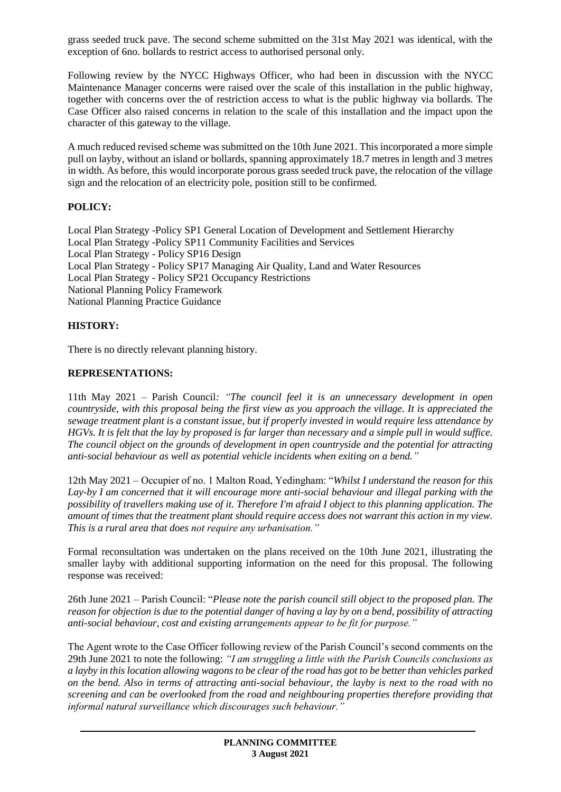grass seeded truck pave. The second scheme submitted on the 31st May 2021 was identical, with the exception of 6no. bollards to restrict access to authorised personal only.

Following review by the NYCC Highways Officer, who had been in discussion with the NYCC Maintenance Manager concerns were raised over the scale of this installation in the public highway, together with concerns over the of restriction access to what is the public highway via bollards. The Case Officer also raised concerns in relation to the scale of this installation and the impact upon the character of this gateway to the village.

A much reduced revised scheme was submitted on the 10th June 2021. This incorporated a more simple pull on layby, without an island or bollards, spanning approximately 18.7 metres in length and 3 metres in width. As before, this would incorporate porous grass seeded truck pave, the relocation of the village sign and the relocation of an electricity pole, position still to be confirmed.

## **POLICY:**

Local Plan Strategy -Policy SP1 General Location of Development and Settlement Hierarchy Local Plan Strategy -Policy SP11 Community Facilities and Services Local Plan Strategy - Policy SP16 Design Local Plan Strategy - Policy SP17 Managing Air Quality, Land and Water Resources Local Plan Strategy - Policy SP21 Occupancy Restrictions National Planning Policy Framework National Planning Practice Guidance

### **HISTORY:**

There is no directly relevant planning history.

### **REPRESENTATIONS:**

11th May 2021 – Parish Council*: "The council feel it is an unnecessary development in open countryside, with this proposal being the first view as you approach the village. It is appreciated the sewage treatment plant is a constant issue, but if properly invested in would require less attendance by HGVs. It is felt that the lay by proposed is far larger than necessary and a simple pull in would suffice. The council object on the grounds of development in open countryside and the potential for attracting anti-social behaviour as well as potential vehicle incidents when exiting on a bend."*

12th May 2021 – Occupier of no. 1 Malton Road, Yedingham: "*Whilst I understand the reason for this Lay-by I am concerned that it will encourage more anti-social behaviour and illegal parking with the possibility of travellers making use of it. Therefore I'm afraid I object to this planning application. The amount of times that the treatment plant should require access does not warrant this action in my view. This is a rural area that does not require any urbanisation."*

Formal reconsultation was undertaken on the plans received on the 10th June 2021, illustrating the smaller layby with additional supporting information on the need for this proposal. The following response was received:

26th June 2021 – Parish Council: "*Please note the parish council still object to the proposed plan. The reason for objection is due to the potential danger of having a lay by on a bend, possibility of attracting anti-social behaviour, cost and existing arrangements appear to be fit for purpose."*

The Agent wrote to the Case Officer following review of the Parish Council's second comments on the 29th June 2021 to note the following: *"I am struggling a little with the Parish Councils conclusions as a layby in this location allowing wagons to be clear of the road has got to be better than vehicles parked on the bend. Also in terms of attracting anti-social behaviour, the layby is next to the road with no screening and can be overlooked from the road and neighbouring properties therefore providing that informal natural surveillance which discourages such behaviour."*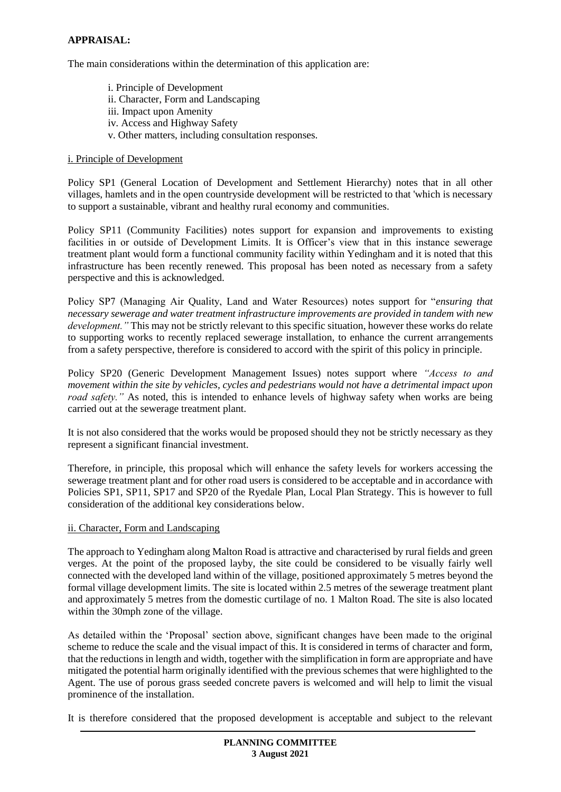### **APPRAISAL:**

The main considerations within the determination of this application are:

i. Principle of Development ii. Character, Form and Landscaping iii. Impact upon Amenity iv. Access and Highway Safety v. Other matters, including consultation responses.

#### i. Principle of Development

Policy SP1 (General Location of Development and Settlement Hierarchy) notes that in all other villages, hamlets and in the open countryside development will be restricted to that 'which is necessary to support a sustainable, vibrant and healthy rural economy and communities.

Policy SP11 (Community Facilities) notes support for expansion and improvements to existing facilities in or outside of Development Limits. It is Officer's view that in this instance sewerage treatment plant would form a functional community facility within Yedingham and it is noted that this infrastructure has been recently renewed. This proposal has been noted as necessary from a safety perspective and this is acknowledged.

Policy SP7 (Managing Air Quality, Land and Water Resources) notes support for "*ensuring that necessary sewerage and water treatment infrastructure improvements are provided in tandem with new development."* This may not be strictly relevant to this specific situation, however these works do relate to supporting works to recently replaced sewerage installation, to enhance the current arrangements from a safety perspective, therefore is considered to accord with the spirit of this policy in principle.

Policy SP20 (Generic Development Management Issues) notes support where *"Access to and movement within the site by vehicles, cycles and pedestrians would not have a detrimental impact upon road safety.*" As noted, this is intended to enhance levels of highway safety when works are being carried out at the sewerage treatment plant.

It is not also considered that the works would be proposed should they not be strictly necessary as they represent a significant financial investment.

Therefore, in principle, this proposal which will enhance the safety levels for workers accessing the sewerage treatment plant and for other road users is considered to be acceptable and in accordance with Policies SP1, SP11, SP17 and SP20 of the Ryedale Plan, Local Plan Strategy. This is however to full consideration of the additional key considerations below.

#### ii. Character, Form and Landscaping

The approach to Yedingham along Malton Road is attractive and characterised by rural fields and green verges. At the point of the proposed layby, the site could be considered to be visually fairly well connected with the developed land within of the village, positioned approximately 5 metres beyond the formal village development limits. The site is located within 2.5 metres of the sewerage treatment plant and approximately 5 metres from the domestic curtilage of no. 1 Malton Road. The site is also located within the 30mph zone of the village.

As detailed within the 'Proposal' section above, significant changes have been made to the original scheme to reduce the scale and the visual impact of this. It is considered in terms of character and form, that the reductions in length and width, together with the simplification in form are appropriate and have mitigated the potential harm originally identified with the previous schemes that were highlighted to the Agent. The use of porous grass seeded concrete pavers is welcomed and will help to limit the visual prominence of the installation.

It is therefore considered that the proposed development is acceptable and subject to the relevant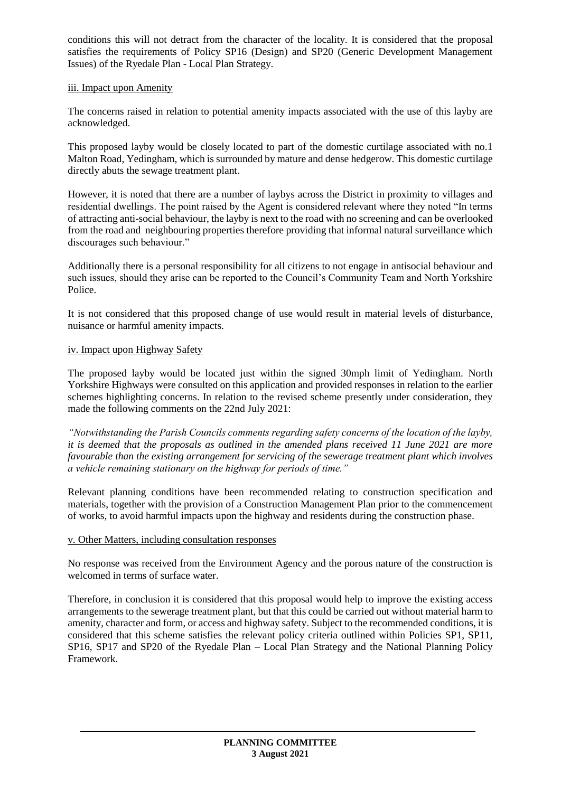conditions this will not detract from the character of the locality. It is considered that the proposal satisfies the requirements of Policy SP16 (Design) and SP20 (Generic Development Management Issues) of the Ryedale Plan - Local Plan Strategy.

### iii. Impact upon Amenity

The concerns raised in relation to potential amenity impacts associated with the use of this layby are acknowledged.

This proposed layby would be closely located to part of the domestic curtilage associated with no.1 Malton Road, Yedingham, which is surrounded by mature and dense hedgerow. This domestic curtilage directly abuts the sewage treatment plant.

However, it is noted that there are a number of laybys across the District in proximity to villages and residential dwellings. The point raised by the Agent is considered relevant where they noted "In terms of attracting anti-social behaviour, the layby is next to the road with no screening and can be overlooked from the road and neighbouring properties therefore providing that informal natural surveillance which discourages such behaviour."

Additionally there is a personal responsibility for all citizens to not engage in antisocial behaviour and such issues, should they arise can be reported to the Council's Community Team and North Yorkshire Police.

It is not considered that this proposed change of use would result in material levels of disturbance, nuisance or harmful amenity impacts.

#### iv. Impact upon Highway Safety

The proposed layby would be located just within the signed 30mph limit of Yedingham. North Yorkshire Highways were consulted on this application and provided responses in relation to the earlier schemes highlighting concerns. In relation to the revised scheme presently under consideration, they made the following comments on the 22nd July 2021:

*"Notwithstanding the Parish Councils comments regarding safety concerns of the location of the layby, it is deemed that the proposals as outlined in the amended plans received 11 June 2021 are more favourable than the existing arrangement for servicing of the sewerage treatment plant which involves a vehicle remaining stationary on the highway for periods of time."*

Relevant planning conditions have been recommended relating to construction specification and materials, together with the provision of a Construction Management Plan prior to the commencement of works, to avoid harmful impacts upon the highway and residents during the construction phase.

#### v. Other Matters, including consultation responses

No response was received from the Environment Agency and the porous nature of the construction is welcomed in terms of surface water.

Therefore, in conclusion it is considered that this proposal would help to improve the existing access arrangements to the sewerage treatment plant, but that this could be carried out without material harm to amenity, character and form, or access and highway safety. Subject to the recommended conditions, it is considered that this scheme satisfies the relevant policy criteria outlined within Policies SP1, SP11, SP16, SP17 and SP20 of the Ryedale Plan – Local Plan Strategy and the National Planning Policy Framework.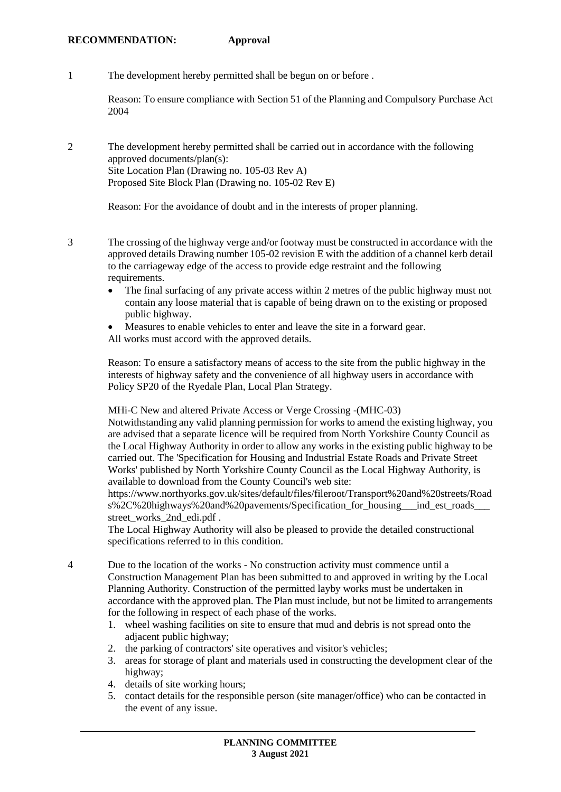1 The development hereby permitted shall be begun on or before .

Reason: To ensure compliance with Section 51 of the Planning and Compulsory Purchase Act 2004

2 The development hereby permitted shall be carried out in accordance with the following approved documents/plan(s): Site Location Plan (Drawing no. 105-03 Rev A) Proposed Site Block Plan (Drawing no. 105-02 Rev E)

Reason: For the avoidance of doubt and in the interests of proper planning.

3 The crossing of the highway verge and/or footway must be constructed in accordance with the approved details Drawing number 105-02 revision E with the addition of a channel kerb detail to the carriageway edge of the access to provide edge restraint and the following requirements.

- The final surfacing of any private access within 2 metres of the public highway must not contain any loose material that is capable of being drawn on to the existing or proposed public highway.
- Measures to enable vehicles to enter and leave the site in a forward gear.
- All works must accord with the approved details.

Reason: To ensure a satisfactory means of access to the site from the public highway in the interests of highway safety and the convenience of all highway users in accordance with Policy SP20 of the Ryedale Plan, Local Plan Strategy.

MHi-C New and altered Private Access or Verge Crossing -(MHC-03)

Notwithstanding any valid planning permission for works to amend the existing highway, you are advised that a separate licence will be required from North Yorkshire County Council as the Local Highway Authority in order to allow any works in the existing public highway to be carried out. The 'Specification for Housing and Industrial Estate Roads and Private Street Works' published by North Yorkshire County Council as the Local Highway Authority, is available to download from the County Council's web site:

https://www.northyorks.gov.uk/sites/default/files/fileroot/Transport%20and%20streets/Road s%2C%20highways%20and%20pavements/Specification for housing ind est roads street\_works\_2nd\_edi.pdf .

The Local Highway Authority will also be pleased to provide the detailed constructional specifications referred to in this condition.

- 4 Due to the location of the works No construction activity must commence until a Construction Management Plan has been submitted to and approved in writing by the Local Planning Authority. Construction of the permitted layby works must be undertaken in accordance with the approved plan. The Plan must include, but not be limited to arrangements for the following in respect of each phase of the works.
	- 1. wheel washing facilities on site to ensure that mud and debris is not spread onto the adjacent public highway;
	- 2. the parking of contractors' site operatives and visitor's vehicles;
	- 3. areas for storage of plant and materials used in constructing the development clear of the highway;
	- 4. details of site working hours;
	- 5. contact details for the responsible person (site manager/office) who can be contacted in the event of any issue.